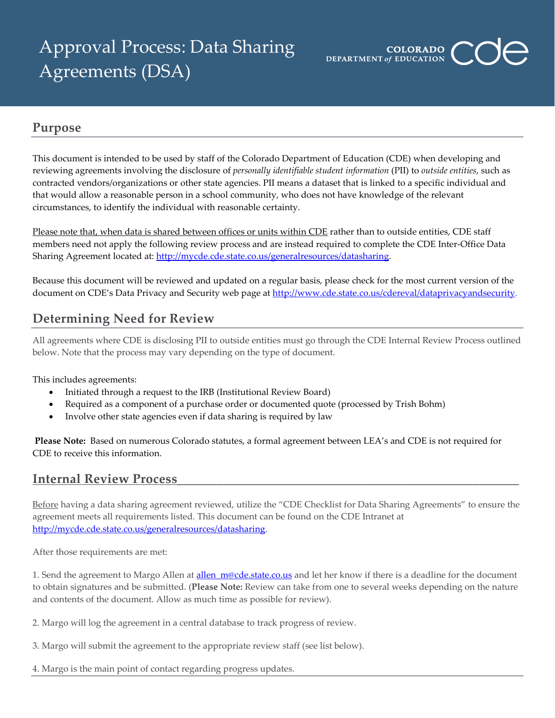# Approval Process: Data Sharing Agreements (DSA)



## **Purpose**

This document is intended to be used by staff of the Colorado Department of Education (CDE) when developing and reviewing agreements involving the disclosure of *personally identifiable student information* (PII) to *outside entities*, such as contracted vendors/organizations or other state agencies. PII means a dataset that is linked to a specific individual and that would allow a reasonable person in a school community, who does not have knowledge of the relevant circumstances, to identify the individual with reasonable certainty.

Please note that, when data is shared between offices or units within CDE rather than to outside entities, CDE staff members need not apply the following review process and are instead required to complete the CDE Inter-Office Data Sharing Agreement located at: [http://mycde.cde.state.co.us/generalresources/datasharing.](http://mycde.cde.state.co.us/generalresources/datasharing)

Because this document will be reviewed and updated on a regular basis, please check for the most current version of the document on CDE's Data Privacy and Security web page at [http://www.cde.state.co.us/cdereval/dataprivacyandsecurity.](http://www.cde.state.co.us/cdereval/dataprivacyandsecurity)

# **Determining Need for Review**

All agreements where CDE is disclosing PII to outside entities must go through the CDE Internal Review Process outlined below. Note that the process may vary depending on the type of document.

This includes agreements:

- Initiated through a request to the IRB (Institutional Review Board)
- Required as a component of a purchase order or documented quote (processed by Trish Bohm)
- Involve other state agencies even if data sharing is required by law

**Please Note:** Based on numerous Colorado statutes, a formal agreement between LEA's and CDE is not required for CDE to receive this information.

### **Internal Review Process**

Before having a data sharing agreement reviewed, utilize the "CDE Checklist for Data Sharing Agreements" to ensure the agreement meets all requirements listed. This document can be found on the CDE Intranet at [http://mycde.cde.state.co.us/generalresources/datasharing.](http://mycde.cde.state.co.us/generalresources/datasharing)

After those requirements are met:

1. Send the agreement to Margo Allen at allen m@cde.state.co.us and let her know if there is a deadline for the document to obtain signatures and be submitted. (**Please Note:** Review can take from one to several weeks depending on the nature and contents of the document. Allow as much time as possible for review).

- 2. Margo will log the agreement in a central database to track progress of review.
- 3. Margo will submit the agreement to the appropriate review staff (see list below).

4. Margo is the main point of contact regarding progress updates.